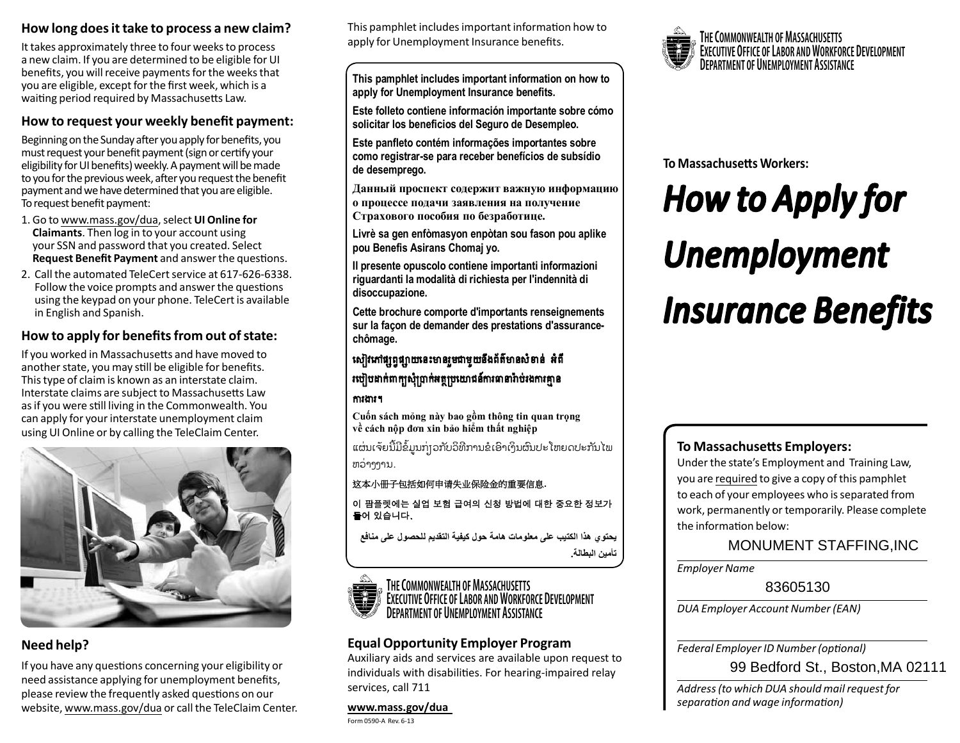## **How long does it take to process a new claim?**

It takes approximately three to four weeks to process a new claim. If you are determined to be eligible for UI benefits, you will receive payments for the weeks that you are eligible, except for the first week, which is a waiting period required by Massachusetts Law.

## **How to request your weekly benefit payment:**

Beginning on the Sunday after you apply for benefits, you must request your benefit payment (sign or certify your eligibility for UI benefits) weekly. A payment will be made to you for the previous week, after you request the benefit payment and we have determined that you are eligible. To request benefit payment:

- 1. Go to www.mass.gov/dua, select **UI Online for Claimants**. Then log in to your account using your SSN and password that you created. Select **Request Benefit Payment** and answer the questions.
- 2. Call the automated TeleCert service at 617-626-6338. Follow the voice prompts and answer the questions using the keypad on your phone. TeleCert is available in English and Spanish.

## **How to apply for benefits from out of state:**

If you worked in Massachusetts and have moved to another state, you may still be eligible for benefits. This type of claim is known as an interstate claim. Interstate claims are subject to Massachusetts Law as if you were still living in the Commonwealth. You can apply for your interstate unemployment claim using UI Online or by calling the TeleClaim Center.



## **Need help?**

If you have any questions concerning your eligibility or need assistance applying for unemployment benefits, please review the frequently asked questions on our website, www.mass.gov/dua or call the TeleClaim Center. This pamphlet includes important information how to apply for Unemployment Insurance benefits.

**This pamphlet includes important information on how to apply for Unemployment Insurance benefits.** 

**Este folleto contiene información importante sobre cómo solicitar los beneficios del Seguro de Desempleo.**

**Este panfleto contém informações importantes sobre como registrar-se para receber benefícios de subsídio de desemprego.** 

**Данный проспект содержит важную информацию о процессе подачи заявления на получение Страхового пособия по безработице.** 

**Livrè sa gen enfòmasyon enpòtan sou fason pou aplike pou Benefis Asirans Chomaj yo.** 

**Il presente opuscolo contiene importanti informazioni riguardanti la modalità di richiesta per l'indennità di disoccupazione.** 

**Cette brochure comporte d'importants renseignements sur la façon de demander des prestations d'assurancechômage.**

## សៀវភៅផ្សព្វផ្សាយនេះមានរួមជាមួយនឹងព័ត៌មានសំខាន់ **អំពី រេប�ប�ក�ក កកស�ុស�កអន ត��បេបេន�៍ ររ���បនប់�ររ�ន**

#### **�រររ។**

**Cuốn sách mỏng này bao gồm thông tin quan trọng về cách nộp đơn xin bảo hiểm thất nghiệp** 

ແຜ່ນເຈ້ຍນີ້ມີຂໍ້ມນກ່ຽວກັບວິທີການຂໍເອົາເງິນຜົນປະໂຫຍດປະກັນໄພ ຫລ່າາາານ.

## **这本小册子包括如何申请失业保险金的重要信息.**

**이 팜플렛에는 실업 보험 급여의 신청 방법에 대한 중요한 정보가 들어 있습니다.**

**یحتوي ھذا الكتیب على معلومات ھامة حول كیفیة التقدیم للحصول على منافع تأمین البطالة.**

#### **THE COMMONWEALTH OF MASSACHUSETTS EXECUTIVE OFFICE OF LABOR AND WORKFORCE DEVELOPMENT DEPARTMENT OF UNEMPLOYMENT ASSISTANCE**

## **Equal Opportunity Employer Program**

Auxiliary aids and services are available upon request to individuals with disabilities. For hearing-impaired relay services, call 711

#### **www.mass.gov/dua**

Form 0590-A Rev. 6-13



**THE COMMONWEALTH OF MASSACHUSETTS EXECUTIVE OFFICE OF LABOR AND WORKFORCE DEVELOPMENT DEPARTMENT OF UNEMPLOYMENT ASSISTANCE**

**To Massachusetts Workers:**

# *How to Apply for Unemployment Insurance Benefits*

## **To Massachusetts Employers:**

Under the state's Employment and Training Law, you are required to give a copy of this pamphlet to each of your employees who is separated from work, permanently or temporarily. Please complete the information below:

## MONUMENT STAFFING,INC

*Employer Name* 

83605130

*DUA Employer Account Number (EAN)*

*Federal Employer ID Number (optional)*

99 Bedford St., Boston,MA 02111

*Address (to which DUA should mail request for separation and wage information)*